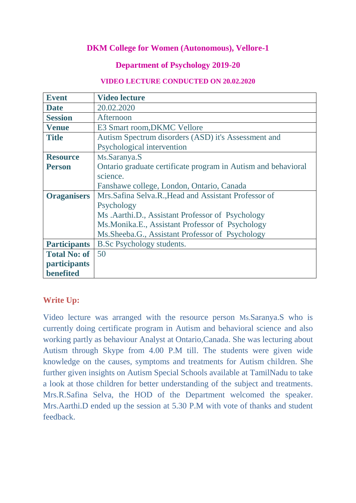# **DKM College for Women (Autonomous), Vellore-1**

### **Department of Psychology 2019-20**

#### **VIDEO LECTURE CONDUCTED ON 20.02.2020**

| <b>Event</b>        | <b>Video lecture</b>                                          |
|---------------------|---------------------------------------------------------------|
| <b>Date</b>         | 20.02.2020                                                    |
| <b>Session</b>      | Afternoon                                                     |
| <b>Venue</b>        | E3 Smart room, DKMC Vellore                                   |
| <b>Title</b>        | Autism Spectrum disorders (ASD) it's Assessment and           |
|                     | Psychological intervention                                    |
| <b>Resource</b>     | Ms.Saranya.S                                                  |
| <b>Person</b>       | Ontario graduate certificate program in Autism and behavioral |
|                     | science.                                                      |
|                     | Fanshawe college, London, Ontario, Canada                     |
| <b>Oraganisers</b>  | Mrs. Safina Selva. R., Head and Assistant Professor of        |
|                     | Psychology                                                    |
|                     | Ms .Aarthi.D., Assistant Professor of Psychology              |
|                     | Ms. Monika. E., Assistant Professor of Psychology             |
|                     | Ms. Sheeba. G., Assistant Professor of Psychology             |
| <b>Participants</b> | <b>B.Sc Psychology students.</b>                              |
| <b>Total No: of</b> | 50                                                            |
| <i>participants</i> |                                                               |
| benefited           |                                                               |

# **Write Up:**

Video lecture was arranged with the resource person Ms.Saranya.S who is currently doing certificate program in Autism and behavioral science and also working partly as behaviour Analyst at Ontario,Canada. She was lecturing about Autism through Skype from 4.00 P.M till. The students were given wide knowledge on the causes, symptoms and treatments for Autism children. She further given insights on Autism Special Schools available at TamilNadu to take a look at those children for better understanding of the subject and treatments. Mrs.R.Safina Selva, the HOD of the Department welcomed the speaker. Mrs.Aarthi.D ended up the session at 5.30 P.M with vote of thanks and student feedback.